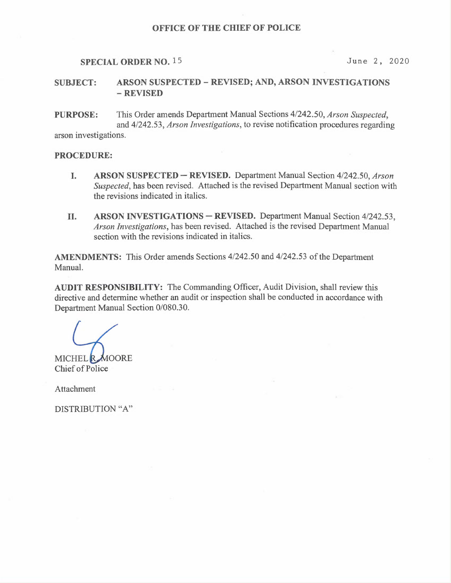#### OFFICE OF THE CHIEF OF POLICE

# SPECIAL ORDER NO. 15 June 2, 2020

# SUBJECT: ARSON SUSPECTED —REVISED; AND, ARSON INVESTIGATIONS — REVISED

PURPOSE: This Order amends Department Manual Sections 4/242.50, Arson Suspected, and 4/242.53, Arson Investigations, to revise notification procedures regarding arson investigations.

### PROCEDURE:

- I. ARSON SUSPECTED REVISED. Department Manual Section 4/242.50, Arson Suspected, has been revised. Attached is the revised Department Manual section with the revisions indicated in italics.
- II. ARSON INVESTIGATIONS —REVISED. Department Manual Section 4/242.53, Arson Investigations, has been revised. Attached is the revised Department Manual section with the revisions indicated in italics.

AMENDMENTS: This Order amends Sections 4/242.50 and 4/242.53 of the Department Manual.

AUDIT RESPONSIBILITY: The Commanding Officer, Audit Division, shall review this directive and determine whether an audit or inspection shall be conducted in accordance with Department Manual Section 0/080.30.

MICHEL R. MOORE Chief of Police

Attachment

DISTRIBUTION "A"